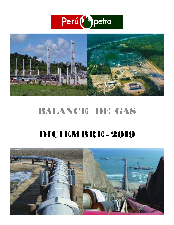



# BALANCE DE GAS

## DICIEMBRE - 2019

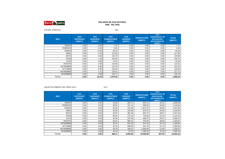

#### PACIFIC STRATUS

 $\mathbf{S}$  192

| <b>MES</b>       | <b>GAS</b><br><b>VENTEADO</b><br>(MMPC) | <b>GAS</b><br><b>QUEMADO</b><br>(MMPC) | <b>GAS</b><br><b>COMBUSTIBLE</b><br>(MMPC) | <b>GAS</b><br><b>VENDIDO</b><br>(MMPC) | <b>REINYECCIÓN</b><br>(MMPC) | <b>GAS</b><br><b>CONDENSADO, DE</b><br><b>REPOSICIÓN,</b><br><b>INSTRUMENTOS</b><br>(MMPC) | <b>TOTAL</b><br>(MMPC) |
|------------------|-----------------------------------------|----------------------------------------|--------------------------------------------|----------------------------------------|------------------------------|--------------------------------------------------------------------------------------------|------------------------|
| <b>ENERO</b>     | 0.00                                    | 0.00                                   | 7.47                                       | 0.00                                   | 0.00                         | 0.00                                                                                       | 7.47                   |
| <b>FEBRERO</b>   | 0.00                                    | 0.00                                   | 0.00                                       | 0.00                                   | 0.00                         | 0.00                                                                                       | 0.00                   |
| <b>MARZO</b>     | 0.00                                    | 11.00                                  | 58.10                                      | 0.00                                   | 0.00                         | 0.00                                                                                       | 69.10                  |
| <b>ABRIL</b>     | 0.00                                    | 4.32                                   | 123.53                                     | 0.00                                   | 0.00                         | 0.00                                                                                       | 127.85                 |
| <b>MAYO</b>      | 0.00                                    | 0.94                                   | 132.74                                     | 0.00                                   | 0.00                         | 0.00                                                                                       | 133.68                 |
| <b>JUNIO</b>     | 0.00                                    | 1.19                                   | 102.55                                     | 0.00                                   | 0.00                         | 0.00                                                                                       | 103.74                 |
| <b>JULIO</b>     | 0.00                                    | 0.68                                   | 31.91                                      | 0.00                                   | 0.00                         | 0.00                                                                                       | 32.59                  |
| <b>AGOSTO</b>    | 0.00                                    | 2.68                                   | 110.83                                     | 0.00                                   | 0.00                         | 0.00                                                                                       | 113.51                 |
| <b>SETIEMBRE</b> | 0.00                                    | 0.90                                   | 121.20                                     | 0.00                                   | 0.00                         | 0.00                                                                                       | 122.10                 |
| <b>OCTUBRE</b>   | 0.00                                    | 0.92                                   | 134.02                                     | 0.00                                   | 0.00                         | 0.00                                                                                       | 134.94                 |
| <b>NOVIEMBRE</b> | 0.00                                    | 1.21                                   | 126.51                                     | 0.00                                   | 0.00                         | 0.00                                                                                       | 127.72                 |
| <b>DICIEMBRE</b> | 0.00                                    | 0.58                                   | 126.17                                     | 0.00                                   | 0.00                         | 0.00                                                                                       | 126.75                 |
| TOTAL            | 0.00                                    | 24.43                                  | 1,075.02                                   | 0.00                                   | 0.00                         | 0.00                                                                                       | 1,099.45               |

AGUAYTIA ENERGY DEL PERU S.R.L. 31-C

| <b>MES</b>       | <b>GAS</b><br><b>VENTEADO</b><br>(MMPC) | <b>GAS</b><br><b>QUEMADO</b><br>(MMPC) | <b>GAS</b><br><b>COMBUSTIBLE</b><br>(MMPC) | <b>GAS</b><br><b>VENDIDO</b><br>(MMPC) | <b>REINYECCIÓN</b><br>(MMPC) | <b>GAS</b><br><b>CONDENSADO, DE</b><br><b>REPOSICIÓN,</b><br><b>INSTRUMENTOS</b><br>(MMPC) | <b>TOTAL</b><br>(MMPC) |
|------------------|-----------------------------------------|----------------------------------------|--------------------------------------------|----------------------------------------|------------------------------|--------------------------------------------------------------------------------------------|------------------------|
| <b>ENERO</b>     | 0.00                                    | 0.00                                   | 43.65                                      | 265.71                                 | 967.21                       | 32.01                                                                                      | 1,308.58               |
| <b>FEBRERO</b>   | 0.00                                    | 0.00                                   | 39.61                                      | 191.11                                 | 890.65                       | 28.09                                                                                      | 1,149.46               |
| <b>MARZO</b>     | 0.00                                    | 0.00                                   | 45.33                                      | 101.30                                 | 1,071.07                     | 29.92                                                                                      | 1,247.62               |
| <b>ABRIL</b>     | 0.00                                    | 0.00                                   | 45.36                                      | 105.86                                 | 978.75                       | 26.58                                                                                      | 1,156.55               |
| <b>MAYO</b>      | 0.00                                    | 0.00                                   | 43.87                                      | 381.39                                 | 867.37                       | 28.87                                                                                      | 1,321.50               |
| <b>JUNIO</b>     | 0.00                                    | 0.00                                   | 36.25                                      | 272.24                                 | 778.63                       | 23.10                                                                                      | 1,110.22               |
| <b>JULIO</b>     | 0.00                                    | 0.00                                   | 44.34                                      | 337.69                                 | 995.37                       | 29.07                                                                                      | 1,406.47               |
| <b>AGOSTO</b>    | 0.00                                    | 0.00                                   | 36.42                                      | 894.31                                 | 476.30                       | 26.84                                                                                      | 1,433.87               |
| <b>SETIEMBRE</b> | 0.00                                    | 0.00                                   | 35.67                                      | 634.50                                 | 647.94                       | 18.73                                                                                      | 1,336.84               |
| <b>OCTUBRE</b>   | 0.00                                    | 0.00                                   | 34.78                                      | 608.65                                 | 641.78                       | 21.73                                                                                      | 1,306.94               |
| <b>NOVIEMBRE</b> | 0.00                                    | 0.00                                   | 39.79                                      | 188.22                                 | 1,008.48                     | 21.58                                                                                      | 1,258.07               |
| <b>DICIEMBRE</b> | 0.00                                    | 0.00                                   | 44.04                                      | 23.70                                  | 1,169.33                     | 21.03                                                                                      | 1,258.10               |
| <b>TOTAL</b>     | 0.00                                    | 0.00                                   | 489.11                                     | 4,004.68                               | 10,492.88                    | 307.55                                                                                     | 15,294.22              |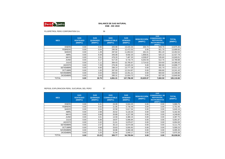

PLUSPETROL PERÚ CORPORATION S.A. 66

| <b>MES</b>       | <b>GAS</b><br><b>VENTEADO</b><br>(MMPC) | <b>GAS</b><br><b>QUEMADO</b><br>(MMPC) | <b>GAS</b><br><b>COMBUSTIBLE</b><br>(MMPC) | <b>GAS</b><br><b>VENDIDO</b><br>(MMPC) | <b>REINYECCIÓN</b><br>(MMPC) | <b>GAS</b><br><b>CONDENSADO, DE</b><br><b>REPOSICIÓN,</b><br><b>INSTRUMENTOS</b><br>(MMPC) | <b>TOTAL</b><br>(MMPC) |
|------------------|-----------------------------------------|----------------------------------------|--------------------------------------------|----------------------------------------|------------------------------|--------------------------------------------------------------------------------------------|------------------------|
| <b>ENERO</b>     | 0.00                                    | 0.60                                   | 325.99                                     | 13,415.33                              | 204.73                       | 928.70                                                                                     | 14,875.35              |
| <b>FEBRERO</b>   | 0.00                                    | 0.04                                   | 295.56                                     | 12,472.53                              | 0.00                         | 921.70                                                                                     | 13,689.83              |
| <b>MARZO</b>     | 0.00                                    | 1.49                                   | 297.82                                     | 11,853.02                              | 261.01                       | 851.20                                                                                     | 13,264.54              |
| <b>ABRIL</b>     | 0.00                                    | 6.59                                   | 345.08                                     | 9,592.20                               | 1,858.81                     | 625.10                                                                                     | 12,427.78              |
| <b>MAYO</b>      | 0.00                                    | 2.01                                   | 476.33                                     | 7,487.20                               | 4,538.87                     | 535.60                                                                                     | 13,040.01              |
| <b>JUNIO</b>     | 0.00                                    | 0.17                                   | 517.34                                     | 6,716.74                               | 6,042.93                     | 512.70                                                                                     | 13,789.88              |
| <b>JULIO</b>     | 0.00                                    | 1.11                                   | 384.43                                     | 10,765.67                              | 2,714.62                     | 524.60                                                                                     | 14,390.43              |
| <b>AGOSTO</b>    | 0.00                                    | 7.29                                   | 276.36                                     | 13,025.32                              | 5.00                         | 382.80                                                                                     | 13,696.77              |
| <b>SETIEMBRE</b> | 0.00                                    | 6.00                                   | 296.14                                     | 13,777.28                              | 0.00                         | 431.70                                                                                     | 14,511.12              |
| <b>OCTUBRE</b>   | 0.00                                    | 1.83                                   | 267.93                                     | 12,314.87                              | 0.00                         | 656.80                                                                                     | 13,241.43              |
| <b>NOVIEMBRE</b> | 0.00                                    | 0.03                                   | 293.02                                     | 13,451.21                              | 0.00                         | 604.60                                                                                     | 14,348.86              |
| <b>DICIEMBRE</b> | 0.00                                    | 3.63                                   | 285.31                                     | 12,924.72                              | 0.00                         | 627.00                                                                                     | 13,840.66              |
| <b>TOTAL</b>     | 0.00                                    | 30.79                                  | 4,061.31                                   | 137,796.09                             | 15,625.97                    | 7,602.50                                                                                   | 165,116.66             |

#### REPSOL EXPLORACION PERU, SUCURSAL DEL PERÚ <sup>57</sup>

| <b>MES</b>       | <b>GAS</b><br><b>VENTEADO</b><br>(MMPC) | <b>GAS</b><br><b>QUEMADO</b><br>(MMPC) | <b>GAS</b><br><b>COMBUSTIBLE</b><br>(MMPC) | <b>GAS</b><br><b>VENDIDO</b><br>(MMPC) | <b>REINYECCIÓN</b><br>(MMPC) | <b>GAS</b><br><b>CONDENSADO, DE</b><br><b>REPOSICIÓN,</b><br><b>INSTRUMENTOS</b><br>(MMPC) | <b>TOTAL</b><br>(MMPC) |
|------------------|-----------------------------------------|----------------------------------------|--------------------------------------------|----------------------------------------|------------------------------|--------------------------------------------------------------------------------------------|------------------------|
| <b>ENERO</b>     | 0.00                                    | 0.41                                   | 24.09                                      | 5,944.25                               | 0.00                         | 0.00                                                                                       | 5,968.75               |
| <b>FEBRERO</b>   | 0.00                                    | 0.02                                   | 21.95                                      | 5,730.49                               | 0.00                         | 0.00                                                                                       | 5,752.46               |
| <b>MARZO</b>     | 0.00                                    | 0.54                                   | 22.58                                      | 5,617.04                               | 0.00                         | 0.00                                                                                       | 5,640.16               |
| <b>ABRIL</b>     | 0.00                                    | 2.68                                   | 25.52                                      | 5,134.26                               | 0.00                         | 0.00                                                                                       | 5,162.46               |
| <b>MAYO</b>      | 0.00                                    | 0.68                                   | 20.89                                      | 4,227.08                               | 0.00                         | 0.00                                                                                       | 4,248.65               |
| <b>JUNIO</b>     | 0.00                                    | 3.01                                   | 14.59                                      | 3,380.15                               | 0.00                         | 0.00                                                                                       | 3,397.75               |
| <b>JULIO</b>     | 0.00                                    | 6.06                                   | 18.97                                      | 5,066.84                               | 0.00                         | 0.00                                                                                       | 5,091.87               |
| <b>AGOSTO</b>    | 0.00                                    | 3.32                                   | 21.61                                      | 5,979.07                               | 0.00                         | 0.00                                                                                       | 6,004.00               |
| <b>SETIEMBRE</b> | 0.00                                    | 2.57                                   | 35.14                                      | 6,074.08                               | 0.00                         | 0.00                                                                                       | 6,111.79               |
| <b>OCTUBRE</b>   | 0.00                                    | 0.68                                   | 33.63                                      | 5,555.92                               | 0.00                         | 0.00                                                                                       | 5,590.23               |
| <b>NOVIEMBRE</b> | 0.00                                    | 0.01                                   | 34.86                                      | 6,060.48                               | 0.00                         | 0.00                                                                                       | 6,095.35               |
| <b>DICIEMBRE</b> | 0.00                                    | 3.25                                   | 31.94                                      | 5,940.17                               | 0.00                         | 0.00                                                                                       | 5,975.36               |
| <b>TOTAL</b>     | 0.00                                    | 23.23                                  | 305.77                                     | 64,709.84                              | 0.00                         | 0.00                                                                                       | 65,038.84              |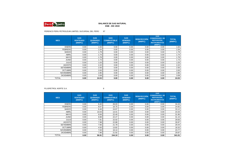

### PERENCO PERU PETROLEUM LIMITED, SUCURSAL DEL PERÚ <sup>67</sup>

| <b>MES</b>       | <b>GAS</b><br><b>VENTEADO</b><br>(MMPC) | <b>GAS</b><br><b>QUEMADO</b><br>(MMPC) | <b>GAS</b><br><b>COMBUSTIBLE</b><br>(MMPC) | <b>GAS</b><br><b>VENDIDO</b><br>(MMPC) | <b>REINYECCIÓN</b><br>(MMPC) | <b>GAS</b><br><b>CONDENSADO, DE</b><br><b>REPOSICIÓN,</b><br><b>INSTRUMENTOS</b><br>(MMPC) | <b>TOTAL</b><br>(MMPC) |
|------------------|-----------------------------------------|----------------------------------------|--------------------------------------------|----------------------------------------|------------------------------|--------------------------------------------------------------------------------------------|------------------------|
| <b>ENERO</b>     | 0.00                                    | 1.64                                   | 0.00                                       | 0.00                                   | 0.00                         | 0.00                                                                                       | 1.64                   |
| <b>FEBRERO</b>   | 0.00                                    | 1.54                                   | 0.00                                       | 0.00                                   | 0.00                         | 0.00                                                                                       | 1.54                   |
| <b>MARZO</b>     | 0.00                                    | 1.79                                   | 0.00                                       | 0.00                                   | 0.00                         | 0.00                                                                                       | 1.79                   |
| <b>ABRIL</b>     | 0.00                                    | 1.74                                   | 0.00                                       | 0.00                                   | 0.00                         | 0.00                                                                                       | 1.74                   |
| <b>MAYO</b>      | 0.00                                    | 1.78                                   | 0.00                                       | 0.00                                   | 0.00                         | 0.00                                                                                       | 1.78                   |
| <b>JUNIO</b>     | 0.00                                    | 1.73                                   | 0.00                                       | 0.00                                   | 0.00                         | 0.00                                                                                       | 1.73                   |
| <b>JULIO</b>     | 0.00                                    | 1.03                                   | 0.00                                       | 0.00                                   | 0.00                         | 0.00                                                                                       | 1.03                   |
| <b>AGOSTO</b>    | 0.00                                    | 2.22                                   | 0.00                                       | 0.00                                   | 0.00                         | 0.00                                                                                       | 2.22                   |
| <b>SETIEMBRE</b> | 0.00                                    | 2.50                                   | 0.00                                       | 0.00                                   | 0.00                         | 0.00                                                                                       | 2.50                   |
| <b>OCTUBRE</b>   | 0.00                                    | 2.63                                   | 0.00                                       | 0.00                                   | 0.00                         | 0.00                                                                                       | 2.63                   |
| <b>NOVIEMBRE</b> | 0.00                                    | 2.85                                   | 0.00                                       | 0.00                                   | 0.00                         | 0.00                                                                                       | 2.85                   |
| <b>DICIEMBRE</b> | 0.00                                    | 3.08                                   | 0.00                                       | 0.00                                   | 0.00                         | 0.00                                                                                       | 3.08                   |
| <b>TOTAL</b>     | 0.00                                    | 24.53                                  | 0.00                                       | 0.00                                   | 0.00                         | 0.00                                                                                       | 24.53                  |

PLUSPETROL NORTE S.A.

 $\sim$  8

| <b>MES</b>       | <b>GAS</b><br><b>VENTEADO</b><br>(MMPC) | <b>GAS</b><br><b>QUEMADO</b><br>(MMPC) | <b>GAS</b><br><b>COMBUSTIBLE</b><br>(MMPC) | <b>GAS</b><br><b>VENDIDO</b><br>(MMPC) | <b>REINYECCIÓN</b><br>(MMPC) | <b>GAS</b><br><b>CONDENSADO, DE</b><br><b>REPOSICIÓN.</b><br><b>INSTRUMENTOS</b><br>(MMPC) | <b>TOTAL</b><br>(MMPC) |
|------------------|-----------------------------------------|----------------------------------------|--------------------------------------------|----------------------------------------|------------------------------|--------------------------------------------------------------------------------------------|------------------------|
| <b>ENERO</b>     | 0.00                                    | 8.40                                   | 26.03                                      | 0.00                                   | 0.00                         | 0.00                                                                                       | 34.43                  |
| <b>FEBRERO</b>   | 0.00                                    | 8.07                                   | 16.75                                      | 0.00                                   | 0.00                         | 0.00                                                                                       | 24.82                  |
| <b>MARZO</b>     | 0.00                                    | 8.46                                   | 24.67                                      | 0.00                                   | 0.00                         | 0.00                                                                                       | 33.12                  |
| <b>ABRIL</b>     | 0.00                                    | 10.03                                  | 13.41                                      | 0.00                                   | 0.00                         | 0.00                                                                                       | 23.44                  |
| <b>MAYO</b>      | 0.00                                    | 9.56                                   | 22.40                                      | 0.00                                   | 0.00                         | 0.00                                                                                       | 31.95                  |
| <b>JUNIO</b>     | 0.00                                    | 8.88                                   | 22.27                                      | 0.00                                   | 0.00                         | 0.00                                                                                       | 31.15                  |
| <b>JULIO</b>     | 0.00                                    | 7.81                                   | 22.02                                      | 0.00                                   | 0.00                         | 0.00                                                                                       | 29.83                  |
| <b>AGOSTO</b>    | 0.00                                    | 7.98                                   | 22.88                                      | 0.00                                   | 0.00                         | 0.00                                                                                       | 30.87                  |
| <b>SETIEMBRE</b> | 0.00                                    | 7.66                                   | 21.78                                      | 0.00                                   | 0.00                         | 0.00                                                                                       | 29.44                  |
| <b>OCTUBRE</b>   | 0.00                                    | 4.50                                   | 13.82                                      | 0.00                                   | 0.00                         | 0.00                                                                                       | 18.32                  |
| <b>NOVIEMBRE</b> | 0.00                                    | 7.63                                   | 16.14                                      | 0.00                                   | 0.00                         | 0.00                                                                                       | 23.77                  |
| <b>DICIEMBRE</b> | 0.00                                    | 7.96                                   | 21.92                                      | 0.00                                   | 0.00                         | 0.00                                                                                       | 29.87                  |
| <b>TOTAL</b>     | 0.00                                    | 96.91                                  | 244.10                                     | 0.00                                   | 0.00                         | 0.00                                                                                       | 341.01                 |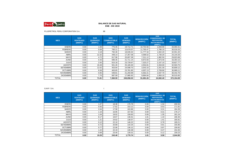

PLUSPETROL PERU CORPORATION S.A. 68

| <b>MES</b>       | <b>GAS</b><br><b>VENTEADO</b><br>(MMPC) | <b>GAS</b><br><b>QUEMADO</b><br>(MMPC) | <b>GAS</b><br><b>COMBUSTIBLE</b><br>(MMPC) | <b>GAS</b><br><b>VENDIDO</b><br>(MMPC) | <b>REINYECCIÓN</b><br>(MMPC) | <b>GAS</b><br><b>CONDENSADO, DE</b><br><b>REPOSICIÓN,</b><br><b>INSTRUMENTOS</b><br>(MMPC) | <b>TOTAL</b><br>(MMPC) |
|------------------|-----------------------------------------|----------------------------------------|--------------------------------------------|----------------------------------------|------------------------------|--------------------------------------------------------------------------------------------|------------------------|
| <b>ENERO</b>     | 0.00                                    | 1.69                                   | 775.45                                     | 19,712.71                              | 10,754.56                    | 1,848.90                                                                                   | 33,093.31              |
| <b>FEBRERO</b>   | 0.00                                    | 0.08                                   | 760.11                                     | 15,679.57                              | 11,793.47                    | 1,786.10                                                                                   | 30,019.33              |
| <b>MARZO</b>     | 0.00                                    | 4.18                                   | 792.46                                     | 18,035.02                              | 11,777.34                    | 1,942.20                                                                                   | 32,551.20              |
| <b>ABRIL</b>     | 0.00                                    | 12.32                                  | 448.14                                     | 17,357.08                              | 4,596.52                     | 1,730.20                                                                                   | 24,144.26              |
| <b>MAYO</b>      | 0.00                                    | 4.72                                   | 617.96                                     | 20,007.38                              | 7,311.12                     | 1,982.50                                                                                   | 29,923.68              |
| <b>JUNIO</b>     | 0.00                                    | 0.43                                   | 696.35                                     | 21,711.14                              | 8,972.83                     | 1,973.40                                                                                   | 33,354.15              |
| <b>JULIO</b>     | 0.00                                    | 2.55                                   | 615.18                                     | 23,729.67                              | 7,323.27                     | 2,157.10                                                                                   | 33,827.77              |
| <b>AGOSTO</b>    | 0.00                                    | 19.49                                  | 501.45                                     | 25,165.00                              | 4,554.81                     | 2,263.00                                                                                   | 32,503.75              |
| <b>SETIEMBRE</b> | 0.00                                    | 12.02                                  | 453.94                                     | 24,598.70                              | 3,543.16                     | 2,201.30                                                                                   | 30,809.12              |
| <b>OCTUBRE</b>   | 0.00                                    | 6.58                                   | 463.65                                     | 23,781.85                              | 4,007.13                     | 2,709.90                                                                                   | 30,969.11              |
| <b>NOVIEMBRE</b> | 0.00                                    | 0.05                                   | 548.81                                     | 21,293.99                              | 6,562.21                     | 2,037.70                                                                                   | 30,442.76              |
| <b>DICIEMBRE</b> | 0.00                                    | 7.70                                   | 687.09                                     | 17,985.92                              | 9,884.84                     | 1,950.10                                                                                   | 30,515.65              |
| <b>TOTAL</b>     | 0.00                                    | 71.81                                  | 7,360.59                                   | 249,058.03                             | 91,081.26                    | 24,582.40                                                                                  | 372,154.09             |

G.M.P. S.A. I

| <b>MES</b>       | <b>GAS</b><br><b>VENTEADO</b><br>(MMPC) | <b>GAS</b><br><b>QUEMADO</b><br>(MMPC) | <b>GAS</b><br><b>COMBUSTIBLE</b><br>(MMPC) | <b>GAS</b><br><b>VENDIDO</b><br>(MMPC) | <b>REINYECCIÓN</b><br>(MMPC) | <b>GAS</b><br><b>CONDENSADO, DE</b><br><b>REPOSICIÓN,</b><br><b>INSTRUMENTOS</b><br>(MMPC) | <b>TOTAL</b><br>(MMPC) |
|------------------|-----------------------------------------|----------------------------------------|--------------------------------------------|----------------------------------------|------------------------------|--------------------------------------------------------------------------------------------|------------------------|
| <b>ENERO</b>     | 0.00                                    | 1.07                                   | 18.38                                      | 179.78                                 | 0.00                         | 1.34                                                                                       | 200.56                 |
| <b>FEBRERO</b>   | 0.00                                    | 0.55                                   | 17.62                                      | 153.12                                 | 0.00                         | 0.53                                                                                       | 171.82                 |
| <b>MARZO</b>     | 0.00                                    | 2.64                                   | 17.58                                      | 163.86                                 | 0.00                         | 0.31                                                                                       | 184.39                 |
| <b>ABRIL</b>     | 0.00                                    | 1.10                                   | 16.95                                      | 157.82                                 | 0.00                         | 0.31                                                                                       | 176.17                 |
| <b>MAYO</b>      | 0.00                                    | 1.04                                   | 19.02                                      | 159.83                                 | 0.00                         | 1.35                                                                                       | 181.24                 |
| <b>JUNIO</b>     | 0.00                                    | 8.17                                   | 18.67                                      | 136.61                                 | 1.81                         | 1.10                                                                                       | 166.36                 |
| <b>JULIO</b>     | 0.00                                    | 1.21                                   | 24.62                                      | 138.57                                 | 0.00                         | 1.41                                                                                       | 165.81                 |
| <b>AGOSTO</b>    | 0.00                                    | 0.12                                   | 22.10                                      | 146.22                                 | 0.00                         | 0.78                                                                                       | 169.21                 |
| <b>SETIEMBRE</b> | 0.00                                    | 0.72                                   | 20.89                                      | 133.34                                 | 0.00                         | 0.91                                                                                       | 155.86                 |
| <b>OCTUBRE</b>   | 0.00                                    | 0.77                                   | 22.06                                      | 136.12                                 | 0.00                         | 0.97                                                                                       | 159.92                 |
| <b>NOVIEMBRE</b> | 0.00                                    | 1.22                                   | 22.19                                      | 130.48                                 | 0.00                         | 0.47                                                                                       | 154.35                 |
| <b>DICIEMBRE</b> | 0.00                                    | 0.69                                   | 23.40                                      | 135.01                                 | 0.00                         | 0.12                                                                                       | 159.23                 |
| <b>TOTAL</b>     | 0.00                                    | 19.29                                  | 243.48                                     | 1,770.74                               | 1.81                         | 9.58                                                                                       | 2,044.90               |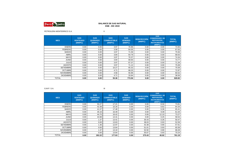

PETROLERA MONTERRICO S.A. II

| <b>MES</b>       | <b>GAS</b><br><b>VENTEADO</b><br>(MMPC) | <b>GAS</b><br><b>QUEMADO</b><br>(MMPC) | <b>GAS</b><br><b>COMBUSTIBLE</b><br>(MMPC) | <b>GAS</b><br><b>VENDIDO</b><br>(MMPC) | <b>REINYECCIÓN</b><br>(MMPC) | <b>GAS</b><br><b>CONDENSADO, DE</b><br><b>REPOSICIÓN,</b><br><b>INSTRUMENTOS</b><br>(MMPC) | <b>TOTAL</b><br>(MMPC) |
|------------------|-----------------------------------------|----------------------------------------|--------------------------------------------|----------------------------------------|------------------------------|--------------------------------------------------------------------------------------------|------------------------|
| <b>ENERO</b>     | 0.00                                    | 0.00                                   | 3.97                                       | 70.96                                  | 0.00                         | 0.00                                                                                       | 74.93                  |
| <b>FEBRERO</b>   | 0.00                                    | 0.00                                   | 3.58                                       | 64.05                                  | 0.00                         | 0.00                                                                                       | 67.63                  |
| <b>MARZO</b>     | 0.00                                    | 0.00                                   | 3.97                                       | 71.59                                  | 0.00                         | 0.00                                                                                       | 75.56                  |
| <b>ABRIL</b>     | 0.00                                    | 0.00                                   | 3.84                                       | 64.79                                  | 0.00                         | 0.00                                                                                       | 68.63                  |
| <b>MAYO</b>      | 0.00                                    | 0.00                                   | 3.97                                       | 70.37                                  | 0.00                         | 0.00                                                                                       | 74.34                  |
| <b>JUNIO</b>     | 0.00                                    | 0.00                                   | 3.84                                       | 69.93                                  | 0.00                         | 0.00                                                                                       | 73.77                  |
| <b>JULIO</b>     | 0.00                                    | 0.00                                   | 3.97                                       | 67.37                                  | 0.00                         | 0.00                                                                                       | 71.34                  |
| <b>AGOSTO</b>    | 0.00                                    | 0.00                                   | 3.97                                       | 71.12                                  | 0.00                         | 0.00                                                                                       | 75.08                  |
| <b>SETIEMBRE</b> | 0.00                                    | 0.00                                   | 10.27                                      | 65.32                                  | 0.00                         | 0.00                                                                                       | 75.59                  |
| <b>OCTUBRE</b>   | 0.00                                    | 0.00                                   | 4.71                                       | 68.25                                  | 0.00                         | 0.00                                                                                       | 72.97                  |
| <b>NOVIEMBRE</b> | 0.00                                    | 0.00                                   | 4.56                                       | 55.96                                  | 0.00                         | 0.00                                                                                       | 60.52                  |
| <b>DICIEMBRE</b> | 0.00                                    | 0.00                                   | 4.71                                       | 33.84                                  | 0.00                         | 0.00                                                                                       | 38.56                  |
| TOTAL            | 0.00                                    | 0.00                                   | 55.36                                      | 773.56                                 | 0.00                         | 0.00                                                                                       | 828.92                 |

G.M.P. S.A. III

| <b>MES</b>       | <b>GAS</b><br><b>VENTEADO</b><br>(MMPC) | <b>GAS</b><br><b>QUEMADO</b><br>(MMPC) | <b>GAS</b><br><b>COMBUSTIBLE</b><br>(MMPC) | <b>GAS</b><br><b>VENDIDO</b><br>(MMPC) | <b>REINYECCIÓN</b><br>(MMPC) | <b>GAS</b><br><b>CONDENSADO, DE</b><br><b>REPOSICIÓN,</b><br><b>INSTRUMENTOS</b><br>(MMPC) | <b>TOTAL</b><br>(MMPC) |
|------------------|-----------------------------------------|----------------------------------------|--------------------------------------------|----------------------------------------|------------------------------|--------------------------------------------------------------------------------------------|------------------------|
| <b>ENERO</b>     | 0.00                                    | 50.27                                  | 17.21                                      | 0.00                                   | 0.00                         | 6.34                                                                                       | 73.81                  |
| <b>FEBRERO</b>   | 0.00                                    | 42.38                                  | 15.34                                      | 0.00                                   | 0.00                         | 6.62                                                                                       | 64.34                  |
| <b>MARZO</b>     | 0.00                                    | 41.57                                  | 17.48                                      | 0.00                                   | 0.00                         | 6.36                                                                                       | 65.41                  |
| <b>ABRIL</b>     | 0.00                                    | 35.16                                  | 16.49                                      | 0.00                                   | 0.00                         | 9.39                                                                                       | 61.04                  |
| <b>MAYO</b>      | 0.00                                    | 44.75                                  | 16.42                                      | 0.00                                   | 0.00                         | 12.10                                                                                      | 73.27                  |
| <b>JUNIO</b>     | 0.00                                    | 43.98                                  | 14.31                                      | 0.00                                   | 0.00                         | 0.25                                                                                       | 58.54                  |
| <b>JULIO</b>     | 0.00                                    | 1.37                                   | 13.41                                      | 0.00                                   | 35.43                        | 0.26                                                                                       | 50.47                  |
| <b>AGOSTO</b>    | 0.00                                    | 0.00                                   | 13.63                                      | 0.00                                   | 38.03                        | 0.93                                                                                       | 52.59                  |
| <b>SETIEMBRE</b> | 0.00                                    | 1.36                                   | 12.97                                      | 0.00                                   | 42.38                        | 0.90                                                                                       | 57.61                  |
| <b>OCTUBRE</b>   | 0.00                                    | 0.00                                   | 13.64                                      | 0.00                                   | 51.01                        | 0.93                                                                                       | 65.58                  |
| <b>NOVIEMBRE</b> | 0.00                                    | 1.37                                   | 13.10                                      | 0.00                                   | 52.92                        | 0.90                                                                                       | 68.28                  |
| <b>DICIEMBRE</b> | 0.00                                    | 0.00                                   | 13.64                                      | 0.00                                   | 55.67                        | 0.93                                                                                       | 70.24                  |
| <b>TOTAL</b>     | 0.00                                    | 262.22                                 | 177.63                                     | 0.00                                   | 275.43                       | 45.92                                                                                      | 761.19                 |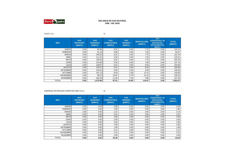

#### **ENE - DIC 2019BALANCE DE GAS NATURAL**

G.M.P. S.A. IV

| <b>MES</b>       | <b>GAS</b><br><b>VENTEADO</b><br>(MMPC) | <b>GAS</b><br><b>QUEMADO</b><br>(MMPC) | <b>GAS</b><br><b>COMBUSTIBLE</b><br>(MMPC) | <b>GAS</b><br><b>VENDIDO</b><br>(MMPC) | <b>REINYECCIÓN</b><br>(MMPC) | <b>GAS</b><br><b>CONDENSADO, DE</b><br>REPOSICIÓN,<br><b>INSTRUMENTOS</b><br>(MMPC) | <b>TOTAL</b><br>(MMPC) |
|------------------|-----------------------------------------|----------------------------------------|--------------------------------------------|----------------------------------------|------------------------------|-------------------------------------------------------------------------------------|------------------------|
| <b>ENERO</b>     | 0.00                                    | 90.89                                  | 6.51                                       | 0.00                                   | 7.75                         | 0.00                                                                                | 105.15                 |
| <b>FEBRERO</b>   | 0.00                                    | 81.19                                  | 5.88                                       | 0.00                                   | 7.00                         | 0.00                                                                                | 94.07                  |
| <b>MARZO</b>     | 0.00                                    | 109.52                                 | 6.51                                       | 0.00                                   | 7.75                         | 0.00                                                                                | 123.78                 |
| <b>ABRIL</b>     | 0.00                                    | 111.51                                 | 6.30                                       | 0.00                                   | 7.50                         | 0.00                                                                                | 125.31                 |
| <b>MAYO</b>      | 0.00                                    | 139.53                                 | 6.51                                       | 0.00                                   | 7.75                         | 0.00                                                                                | 153.79                 |
| <b>JUNIO</b>     | 0.00                                    | 123.68                                 | 6.30                                       | 0.00                                   | 7.80                         | 0.00                                                                                | 137.78                 |
| <b>JULIO</b>     | 0.00                                    | 138.87                                 | 6.51                                       | 0.00                                   | 9.30                         | 0.00                                                                                | 154.68                 |
| <b>AGOSTO</b>    | 0.00                                    | 143.67                                 | 6.51                                       | 0.00                                   | 8.40                         | 0.00                                                                                | 158.58                 |
| <b>SETIEMBRE</b> | 0.00                                    | 125.53                                 | 6.30                                       | 0.00                                   | 9.00                         | 0.00                                                                                | 140.83                 |
| <b>OCTUBRE</b>   | 0.00                                    | 107.13                                 | 8.04                                       | 2.49                                   | 17.41                        | 0.00                                                                                | 135.06                 |
| <b>NOVIEMBRE</b> | 0.00                                    | 98.22                                  | 10.87                                      | 5.78                                   | 21.15                        | 0.00                                                                                | 136.02                 |
| <b>DICIEMBRE</b> | 0.00                                    | 104.26                                 | 11.28                                      | 7.63                                   | 3.86                         | 0.00                                                                                | 127.03                 |
| <b>TOTAL</b>     | 0.00                                    | 1,373.99                               | 87.51                                      | 15.90                                  | 114.67                       | 0.00                                                                                | 1,592.07               |

EMPRESA PETROLERA UNIPETRO ABC S.A.C. IX

| <b>MES</b>       | <b>GAS</b><br><b>VENTEADO</b><br>(MMPC) | <b>GAS</b><br><b>QUEMADO</b><br>(MMPC) | <b>GAS</b><br><b>COMBUSTIBLE</b><br>(MMPC) | <b>GAS</b><br><b>VENDIDO</b><br>(MMPC) | <b>REINYECCIÓN</b><br>(MMPC) | <b>GAS</b><br><b>CONDENSADO, DE</b><br><b>REPOSICIÓN,</b><br><b>INSTRUMENTOS</b><br>(MMPC) | <b>TOTAL</b><br>(MMPC) |
|------------------|-----------------------------------------|----------------------------------------|--------------------------------------------|----------------------------------------|------------------------------|--------------------------------------------------------------------------------------------|------------------------|
| <b>ENERO</b>     | 0.00                                    | 0.00                                   | 2.08                                       | 0.00                                   | 0.00                         | 0.00                                                                                       | 2.08                   |
| <b>FEBRERO</b>   | 0.00                                    | 0.00                                   | 1.90                                       | 0.00                                   | 0.00                         | 0.00                                                                                       | 1.90                   |
| <b>MARZO</b>     | 0.00                                    | 0.00                                   | 2.14                                       | 0.00                                   | 0.00                         | 0.00                                                                                       | 2.14                   |
| <b>ABRIL</b>     | 0.00                                    | 0.00                                   | 2.01                                       | 0.00                                   | 0.00                         | 0.00                                                                                       | 2.01                   |
| <b>MAYO</b>      | 0.00                                    | 0.00                                   | 2.06                                       | 0.00                                   | 0.00                         | 0.00                                                                                       | 2.06                   |
| <b>JUNIO</b>     | 0.00                                    | 0.00                                   | 2.00                                       | 0.00                                   | 0.00                         | 0.00                                                                                       | 2.00                   |
| <b>JULIO</b>     | 0.00                                    | 0.00                                   | 2.06                                       | 0.00                                   | 0.00                         | 0.00                                                                                       | 2.06                   |
| <b>AGOSTO</b>    | 0.00                                    | 0.00                                   | 2.00                                       | 0.00                                   | 0.00                         | 0.00                                                                                       | 2.00                   |
| <b>SETIEMBRE</b> | 0.00                                    | 0.00                                   | 1.99                                       | 0.00                                   | 0.00                         | 0.00                                                                                       | 1.99                   |
| <b>OCTUBRE</b>   | 0.00                                    | 0.00                                   | 2.11                                       | 0.00                                   | 0.00                         | 0.00                                                                                       | 2.11                   |
| <b>NOVIEMBRE</b> | 0.00                                    | 0.00                                   | 2.01                                       | 0.00                                   | 0.00                         | 0.00                                                                                       | 2.01                   |
| <b>DICIEMBRE</b> | 0.00                                    | 0.00                                   | 2.09                                       | 0.00                                   | 0.00                         | 0.00                                                                                       | 2.09                   |
| TOTAL            | 0.00                                    | 0.00                                   | 24.45                                      | 0.00                                   | 0.00                         | 0.00                                                                                       | 24.45                  |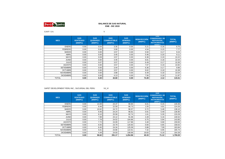

G.M.P. S.A. V

| <b>MES</b>       | <b>GAS</b><br><b>VENTEADO</b><br>(MMPC) | <b>GAS</b><br><b>QUEMADO</b><br>(MMPC) | <b>GAS</b><br><b>COMBUSTIBLE</b><br>(MMPC) | <b>GAS</b><br><b>VENDIDO</b><br>(MMPC) | <b>REINYECCIÓN</b><br>(MMPC) | GAS<br><b>CONDENSADO, DE</b><br><b>REPOSICIÓN,</b><br><b>INSTRUMENTOS</b><br>IMMPC | <b>TOTAL</b><br>(MMPC) |
|------------------|-----------------------------------------|----------------------------------------|--------------------------------------------|----------------------------------------|------------------------------|------------------------------------------------------------------------------------|------------------------|
| <b>ENERO</b>     | 0.00                                    | 0.04                                   | 3.35                                       | 0.00                                   | 5.21                         | 0.16                                                                               | 8.75                   |
| <b>FEBRERO</b>   | 0.00                                    | 0.00                                   | 3.08                                       | 0.00                                   | 4.54                         | 0.15                                                                               | 7.77                   |
| <b>MARZO</b>     | 0.00                                    | 0.00                                   | 3.57                                       | 0.00                                   | 5.50                         | 0.17                                                                               | 9.24                   |
| <b>ABRIL</b>     | 0.00                                    | 0.00                                   | 3.45                                       | 0.00                                   | 5.46                         | 0.20                                                                               | 9.11                   |
| <b>MAYO</b>      | 0.00                                    | 0.09                                   | 3.57                                       | 0.00                                   | 6.38                         | 0.19                                                                               | 10.22                  |
| <b>JUNIO</b>     | 0.00                                    | 0.00                                   | 3.45                                       | 0.00                                   | 6.81                         | 0.18                                                                               | 10.44                  |
| <b>JULIO</b>     | 0.00                                    | 0.07                                   | 3.57                                       | 0.00                                   | 6.49                         | 0.17                                                                               | 10.30                  |
| <b>AGOSTO</b>    | 0.00                                    | 0.00                                   | 3.57                                       | 0.00                                   | 7.07                         | 0.19                                                                               | 10.82                  |
| <b>SETIEMBRE</b> | 0.00                                    | 0.00                                   | 3.44                                       | 0.00                                   | 6.36                         | 0.17                                                                               | 9.96                   |
| <b>OCTUBRE</b>   | 0.00                                    | 0.00                                   | 3.57                                       | 0.00                                   | 6.62                         | 0.19                                                                               | 10.38                  |
| <b>NOVIEMBRE</b> | 0.00                                    | 0.00                                   | 3.88                                       | 0.00                                   | 6.49                         | 0.18                                                                               | 10.54                  |
| <b>DICIEMBRE</b> | 0.00                                    | 0.00                                   | 4.13                                       | 0.00                                   | 7.56                         | 0.18                                                                               | 11.87                  |
| TOTAL            | 0.00                                    | 0.20                                   | 42.60                                      | 0.00                                   | 74.49                        | 2.12                                                                               | 119.41                 |

## SAPET DEVELOPMENT PERU INC., SUCURSAL DEL PERU VII\_VI

| <b>MES</b>       | <b>GAS</b><br><b>VENTEADO</b><br>(MMPC) | <b>GAS</b><br><b>QUEMADO</b><br>(MMPC) | <b>GAS</b><br><b>COMBUSTIBLE</b><br>(MMPC) | <b>GAS</b><br><b>VENDIDO</b><br>(MMPC) | <b>REINYECCIÓN</b><br>(MMPC) | <b>GAS</b><br><b>CONDENSADO, DE</b><br><b>REPOSICIÓN,</b><br><b>INSTRUMENTOS</b><br>(MMPC) | <b>TOTAL</b><br>(MMPC) |
|------------------|-----------------------------------------|----------------------------------------|--------------------------------------------|----------------------------------------|------------------------------|--------------------------------------------------------------------------------------------|------------------------|
| <b>ENERO</b>     | 0.00                                    | 14.08                                  | 24.37                                      | 90.84                                  | 6.01                         | 5.15                                                                                       | 140.46                 |
| <b>FEBRERO</b>   | 0.00                                    | 8.48                                   | 22.59                                      | 86.73                                  | 1.55                         | 4.91                                                                                       | 124.26                 |
| <b>MARZO</b>     | 0.00                                    | 10.62                                  | 24.72                                      | 96.57                                  | 0.72                         | 5.48                                                                                       | 138.10                 |
| <b>ABRIL</b>     | 0.00                                    | 9.46                                   | 24.24                                      | 96.81                                  | 0.91                         | 5.49                                                                                       | 136.90                 |
| <b>MAYO</b>      | 0.00                                    | 8.10                                   | 25.58                                      | 92.74                                  | 1.61                         | 5.26                                                                                       | 133.29                 |
| <b>JUNIO</b>     | 0.00                                    | 7.89                                   | 24.12                                      | 91.06                                  | 2.28                         | 5.16                                                                                       | 130.52                 |
| <b>JULIO</b>     | 0.00                                    | 7.78                                   | 24.52                                      | 104.86                                 | 0.75                         | 5.94                                                                                       | 143.85                 |
| <b>AGOSTO</b>    | 0.00                                    | 7.72                                   | 24.09                                      | 117.86                                 | 3.48                         | 6.68                                                                                       | 159.83                 |
| <b>SETIEMBRE</b> | 0.00                                    | 6.55                                   | 23.79                                      | 120.83                                 | 0.00                         | 6.85                                                                                       | 158.02                 |
| <b>OCTUBRE</b>   | 0.00                                    | 6.45                                   | 24.34                                      | 125.09                                 | 0.88                         | 7.09                                                                                       | 163.84                 |
| <b>NOVIEMBRE</b> | 0.00                                    | 5.01                                   | 23.86                                      | 122.61                                 | 7.32                         | 6.95                                                                                       | 165.74                 |
| <b>DICIEMBRE</b> | 0.00                                    | 4.49                                   | 24.93                                      | 108.96                                 | 19.83                        | 6.18                                                                                       | 164.39                 |
| <b>TOTAL</b>     | 0.00                                    | 96.62                                  | 291.17                                     | 1,254.96                               | 45.33                        | 71.12                                                                                      | 1,759.20               |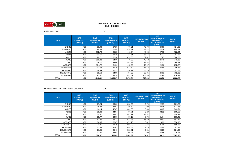

## CNPC PERU S.A. X

| <b>MES</b>       | <b>GAS</b><br><b>VENTEADO</b><br>(MMPC) | <b>GAS</b><br><b>QUEMADO</b><br>(MMPC) | <b>GAS</b><br><b>COMBUSTIBLE</b><br>(MMPC) | <b>GAS</b><br><b>VENDIDO</b><br>(MMPC) | <b>REINYECCIÓN</b><br>(MMPC) | <b>GAS</b><br><b>CONDENSADO, DE</b><br><b>REPOSICIÓN,</b><br><b>INSTRUMENTOS</b><br>(MMPC) | <b>TOTAL</b><br>(MMPC) |
|------------------|-----------------------------------------|----------------------------------------|--------------------------------------------|----------------------------------------|------------------------------|--------------------------------------------------------------------------------------------|------------------------|
| <b>ENERO</b>     | 0.00                                    | 83.98                                  | 87.25                                      | 478.21                                 | 48.76                        | 26.63                                                                                      | 724.83                 |
| <b>FEBRERO</b>   | 0.00                                    | 85.46                                  | 77.59                                      | 415.51                                 | 52.22                        | 24.36                                                                                      | 655.13                 |
| <b>MARZO</b>     | 0.00                                    | 112.78                                 | 85.25                                      | 448.74                                 | 48.95                        | 27.13                                                                                      | 722.84                 |
| <b>ABRIL</b>     | 0.00                                    | 111.66                                 | 82.38                                      | 421.61                                 | 65.67                        | 26.37                                                                                      | 707.69                 |
| <b>MAYO</b>      | 0.00                                    | 120.71                                 | 87.30                                      | 473.08                                 | 52.42                        | 27.25                                                                                      | 760.76                 |
| <b>JUNIO</b>     | 0.00                                    | 110.82                                 | 84.30                                      | 478.83                                 | 43.53                        | 26.40                                                                                      | 743.88                 |
| <b>JULIO</b>     | 0.00                                    | 115.17                                 | 88.60                                      | 491.66                                 | 37.63                        | 27.37                                                                                      | 760.43                 |
| <b>AGOSTO</b>    | 0.00                                    | 104.72                                 | 81.96                                      | 445.25                                 | 18.47                        | 24.86                                                                                      | 675.27                 |
| <b>SETIEMBRE</b> | 0.00                                    | 101.73                                 | 89.76                                      | 514.50                                 | 14.13                        | 26.49                                                                                      | 746.61                 |
| <b>OCTUBRE</b>   | 0.00                                    | 104.94                                 | 95.52                                      | 530.17                                 | 33.76                        | 27.33                                                                                      | 791.72                 |
| <b>NOVIEMBRE</b> | 0.00                                    | 98.58                                  | 94.98                                      | 484.29                                 | 58.35                        | 26.61                                                                                      | 762.81                 |
| <b>DICIEMBRE</b> | 0.00                                    | 92.47                                  | 98.18                                      | 497.41                                 | 145.36                       | 42.90                                                                                      | 876.32                 |
| <b>TOTAL</b>     | 0.00                                    | 1,243.01                               | 1,053.07                                   | 5,679.24                               | 619.26                       | 333.70                                                                                     | 8,928.28               |

#### OLYMPIC PERU INC., SUCURSAL DEL PERU **XIII**

| <b>MES</b>       | <b>GAS</b><br><b>VENTEADO</b><br>(MMPC) | <b>GAS</b><br><b>QUEMADO</b><br>(MMPC) | <b>GAS</b><br><b>COMBUSTIBLE</b><br>(MMPC) | <b>GAS</b><br><b>VENDIDO</b><br>(MMPC) | <b>REINYECCIÓN</b><br>(MMPC) | <b>GAS</b><br><b>CONDENSADO, DE</b><br><b>REPOSICIÓN,</b><br><b>INSTRUMENTOS</b><br>(MMPC) | <b>TOTAL</b><br>(MMPC) |
|------------------|-----------------------------------------|----------------------------------------|--------------------------------------------|----------------------------------------|------------------------------|--------------------------------------------------------------------------------------------|------------------------|
| <b>ENERO</b>     | 0.00                                    | 27.24                                  | 2.79<br>50.09<br>398.39<br>22.77           |                                        |                              | 501.28                                                                                     |                        |
| <b>FEBRERO</b>   | 0.00                                    | 18.82                                  | 43.57                                      | 386.39                                 | 0.00                         | 22.95                                                                                      | 471.73                 |
| <b>MARZO</b>     | 0.00                                    | 14.14                                  | 47.87                                      | 442.36                                 | 3.49                         | 34.65                                                                                      | 542.51                 |
| <b>ABRIL</b>     | 0.00                                    | 35.33                                  | 44.84                                      | 456.71                                 | 0.20                         | 32.52                                                                                      | 569.60                 |
| <b>MAYO</b>      | 0.00                                    | 30.57                                  | 39.81                                      | 447.91                                 | 13.32                        | 27.31                                                                                      | 558.92                 |
| <b>JUNIO</b>     | 0.00                                    | 30.77                                  | 39.00                                      | 499.19                                 | 7.75                         | 21.74                                                                                      | 598.45                 |
| <b>JULIO</b>     | 0.00                                    | 42.39                                  | 38.73                                      | 577.35                                 | 11.49                        | 23.53                                                                                      | 693.49                 |
| <b>AGOSTO</b>    | 0.00                                    | 36.05                                  | 38.67                                      | 671.75                                 | 8.42                         | 4.03                                                                                       | 758.92                 |
| <b>SETIEMBRE</b> | 0.00                                    | 74.35                                  | 33.49                                      | 563.23                                 | 3.44                         | 21.55                                                                                      | 696.06                 |
| <b>OCTUBRE</b>   | 0.00                                    | 32.89                                  | 37.62                                      | 655.46                                 | 1.10                         | 24.40                                                                                      | 751.47                 |
| <b>NOVIEMBRE</b> | 0.00                                    | 21.45                                  | 35.40                                      | 538.91                                 | 2.31                         | 26.29                                                                                      | 624.36                 |
| <b>DICIEMBRE</b> | 0.00                                    | 12.87                                  | 36.54                                      | 705.27                                 | 0.00                         | 24.46                                                                                      | 779.14                 |
| <b>TOTAL</b>     | 0.00                                    | 376.87                                 | 485.63                                     | 6,342.92                               | 54.31                        | 286.19                                                                                     | 7,545.92               |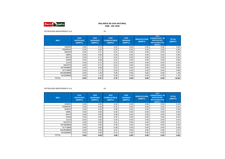

PETROLERA MONTERRICO S.A. XV

| <b>MES</b>       | <b>GAS</b><br><b>VENTEADO</b><br>(MMPC) | <b>GAS</b><br><b>QUEMADO</b><br>(MMPC) | <b>GAS</b><br><b>COMBUSTIBLE</b><br>(MMPC) | <b>GAS</b><br><b>VENDIDO</b><br>(MMPC) | <b>REINYECCIÓN</b><br>(MMPC) | <b>GAS</b><br><b>CONDENSADO, DE</b><br><b>REPOSICIÓN,</b><br><b>INSTRUMENTOS</b><br>(MMPC) | <b>TOTAL</b><br>(MMPC) |
|------------------|-----------------------------------------|----------------------------------------|--------------------------------------------|----------------------------------------|------------------------------|--------------------------------------------------------------------------------------------|------------------------|
| <b>ENERO</b>     | 0.00                                    | 0.73                                   | 0.22                                       | 0.00                                   | 0.00                         | 0.00                                                                                       | 0.95                   |
| <b>FEBRERO</b>   | 0.00                                    | 0.66                                   | 0.20                                       | 0.00                                   | 0.00                         | 0.00                                                                                       | 0.86                   |
| <b>MARZO</b>     | 0.00                                    | 0.71                                   | 0.21                                       | 0.00                                   | 0.00                         | 0.00                                                                                       | 0.92                   |
| <b>ABRIL</b>     | 0.00                                    | 0.65                                   | 0.20                                       | 0.00                                   | 0.00                         | 0.00                                                                                       | 0.85                   |
| <b>MAYO</b>      | 0.00                                    | 0.71                                   | 0.22                                       | 0.00                                   | 0.00                         | 0.00                                                                                       | 0.94                   |
| <b>JUNIO</b>     | 0.00                                    | 0.68                                   | 0.21                                       | 0.00                                   | 0.00                         | 0.00                                                                                       | 0.89                   |
| <b>JULIO</b>     | 0.00                                    | 0.71                                   | 0.22                                       | 0.00                                   | 0.00                         | 0.00                                                                                       | 0.93                   |
| <b>AGOSTO</b>    | 0.00                                    | 0.71                                   | 0.22                                       | 0.00                                   | 0.00                         | 0.00                                                                                       | 0.94                   |
| <b>SETIEMBRE</b> | 0.00                                    | 0.69                                   | 0.21                                       | 0.00                                   | 0.00                         | 0.00                                                                                       | 0.90                   |
| <b>OCTUBRE</b>   | 0.00                                    | 0.71                                   | 0.25                                       | 0.00                                   | 0.00                         | 0.00                                                                                       | 0.96                   |
| <b>NOVIEMBRE</b> | 0.00                                    | 1.20                                   | 0.28                                       | 0.00                                   | 0.00                         | 0.00                                                                                       | 1.48                   |
| <b>DICIEMBRE</b> | 0.00                                    | 1.15                                   | 0.30                                       | 0.00                                   | 0.00                         | 0.00                                                                                       | 1.45                   |
| TOTAL            | 0.00                                    | 9.31                                   | 2.75                                       | 0.00                                   | 0.00                         | 0.00                                                                                       | 12.06                  |

PETROLERA MONTERRICO S.A. XX

| <b>MES</b>       | <b>GAS</b><br><b>VENTEADO</b><br>(MMPC) | <b>GAS</b><br><b>QUEMADO</b><br>(MMPC) | <b>GAS</b><br><b>COMBUSTIBLE</b><br>(MMPC) | <b>GAS</b><br><b>VENDIDO</b><br>(MMPC) | <b>REINYECCIÓN</b><br>(MMPC) | <b>GAS</b><br><b>CONDENSADO, DE</b><br><b>REPOSICIÓN,</b><br><b>INSTRUMENTOS</b><br>(MMPC) | <b>TOTAL</b><br>(MMPC) |
|------------------|-----------------------------------------|----------------------------------------|--------------------------------------------|----------------------------------------|------------------------------|--------------------------------------------------------------------------------------------|------------------------|
| <b>ENERO</b>     | 0.00                                    | 0.00                                   | 0.18                                       | 0.00                                   | 0.00                         | 0.00                                                                                       | 0.18                   |
| <b>FEBRERO</b>   | 0.00                                    | 0.00                                   | 0.41                                       | 0.00                                   | 0.00                         | 0.00                                                                                       | 0.41                   |
| <b>MARZO</b>     | 0.00                                    | 0.00                                   | 0.46                                       | 0.00                                   | 0.00                         | 0.00                                                                                       | 0.46                   |
| ABRIL            | 0.00                                    | 0.00                                   | 0.40                                       | 0.00                                   | 0.00                         | 0.00                                                                                       | 0.40                   |
| <b>MAYO</b>      | 0.00                                    | 0.00                                   | 0.38                                       | 0.00                                   | 0.00                         | 0.00                                                                                       | 0.38                   |
| <b>JUNIO</b>     | 0.00                                    | 0.00                                   | 0.42                                       | 0.00                                   | 0.00                         | 0.00                                                                                       | 0.42                   |
| <b>JULIO</b>     | 0.00                                    | 0.00                                   | 0.44                                       | 0.00                                   | 0.00                         | 0.00                                                                                       | 0.44                   |
| <b>AGOSTO</b>    | 0.00                                    | 0.00                                   | 0.41                                       | 0.00                                   | 0.00                         | 0.00                                                                                       | 0.41                   |
| <b>SETIEMBRE</b> | 0.00                                    | 0.00                                   | 0.40                                       | 0.00                                   | 0.00                         | 0.00                                                                                       | 0.40                   |
| <b>OCTUBRE</b>   | 0.00                                    | 0.00                                   | 0.38                                       | 0.00                                   | 0.00                         | 0.00                                                                                       | 0.38                   |
| <b>NOVIEMBRE</b> | 0.00                                    | 0.00                                   | 0.37                                       | 0.00                                   | 0.00                         | 0.00                                                                                       | 0.37                   |
| <b>DICIEMBRE</b> | 0.00                                    | 0.00                                   | 0.41                                       | 0.00                                   | 0.00                         | 0.00                                                                                       | 0.41                   |
| <b>TOTAL</b>     | 0.00                                    | 0.00                                   | 4.66                                       | 0.00                                   | 0.00                         | 0.00                                                                                       | 4.66                   |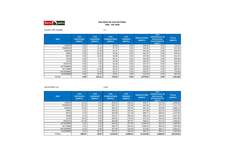

PACIFIC OFF SHORE Z-1

| <b>MES</b>       | <b>GAS</b><br><b>VENTEADO</b><br>(MMPC) | <b>GAS</b><br><b>QUEMADO</b><br>(MMPC) | <b>GAS</b><br><b>COMBUSTIBLE</b><br>(MMPC) | <b>GAS</b><br><b>VENDIDO</b><br>(MMPC) | <b>REINYECCIÓN</b><br>(MMPC) | <b>GAS</b><br><b>CONDENSADO, DE</b><br><b>REPOSICIÓN,</b><br><b>INSTRUMENTOS</b><br>(MMPC) | <b>TOTAL</b><br>(MMPC) |
|------------------|-----------------------------------------|----------------------------------------|--------------------------------------------|----------------------------------------|------------------------------|--------------------------------------------------------------------------------------------|------------------------|
| <b>ENERO</b>     | 0.00                                    | 13.77                                  | 65.03                                      | 0.00                                   | 636.64                       | 0.00                                                                                       | 715.44                 |
| <b>FEBRERO</b>   | 0.00                                    | 11.56                                  | 57.70                                      | 0.00                                   | 542.56                       | 0.00                                                                                       | 611.82                 |
| <b>MARZO</b>     | 0.00                                    | 17.60                                  | 61.57                                      | 0.00                                   | 567.65                       | 0.00                                                                                       | 646.83                 |
| <b>ABRIL</b>     | 0.00                                    | 26.42                                  | 55.99                                      | 0.00<br>503.75                         |                              | 0.00                                                                                       | 586.16                 |
| <b>MAYO</b>      | 0.00                                    | 12.06                                  | 62.84                                      | 0.00                                   | 537.08                       | 0.00                                                                                       | 611.97                 |
| <b>JUNIO</b>     | 0.00                                    | 2.25                                   | 60.21                                      | 0.00                                   | 532.50                       | 0.00                                                                                       | 594.96                 |
| <b>JULIO</b>     | 0.00                                    | 2.49                                   | 61.59                                      | 0.00                                   | 550.42                       | 0.00                                                                                       | 614.50                 |
| <b>AGOSTO</b>    | 0.00                                    | 7.55                                   | 63.10                                      | 0.00                                   | 537.37                       | 0.00                                                                                       | 608.02                 |
| <b>SETIEMBRE</b> | 0.00                                    | 7.02                                   | 59.34                                      | 0.00<br>518.85                         |                              | 0.00                                                                                       | 585.21                 |
| <b>OCTUBRE</b>   | 0.00                                    | 14.38                                  | 56.23                                      | 0.00                                   | 532.02                       | 0.00                                                                                       | 602.64                 |
| <b>NOVIEMBRE</b> | 0.00                                    | 17.84                                  | 53.27                                      | 0.00                                   | 505.57                       | 0.00                                                                                       | 576.68                 |
| <b>DICIEMBRE</b> | 0.00                                    | 28.27                                  | 53.97                                      | 0.00                                   | 515.39                       | 0.00                                                                                       | 597.63                 |
| <b>TOTAL</b>     | 0.00                                    | 161.21                                 | 710.84                                     | 0.00                                   | 6,479.81                     | 0.00                                                                                       | 7,351.86               |

SAVIA PERU S.A. Z-2B

| <b>MES</b>       | <b>GAS</b><br><b>VENTEADO</b><br>(MMPC) | <b>GAS</b><br><b>QUEMADO</b><br>(MMPC) | <b>GAS</b><br><b>COMBUSTIBLE</b><br>(MMPC) | <b>GAS</b><br><b>VENDIDO</b><br>(MMPC) | <b>REINYECCIÓN</b><br>(MMPC) | <b>GAS</b><br><b>CONDENSADO, DE</b><br><b>REPOSICIÓN,</b><br><b>INSTRUMENTOS</b><br>(MMPC) | <b>TOTAL</b><br>(MMPC) |
|------------------|-----------------------------------------|----------------------------------------|--------------------------------------------|----------------------------------------|------------------------------|--------------------------------------------------------------------------------------------|------------------------|
| <b>ENERO</b>     | 21.52                                   | 0.00                                   | 352.52                                     | 238.16                                 | 908.47                       | 375.39                                                                                     | 1,896.06               |
| <b>FEBRERO</b>   | 23.45                                   | 0.00                                   | 320.12                                     | 216.96                                 | 834.02                       | 327.24                                                                                     | 1,721.79               |
| <b>MARZO</b>     | 22.63                                   | 0.00                                   | 364.45                                     | 207.00                                 | 967.10                       | 323.95                                                                                     | 1,885.13               |
| <b>ABRIL</b>     | 0.23                                    | 0.00                                   | 352.65                                     | 185.43                                 | 972.98                       | 322.54                                                                                     | 1,833.83               |
| <b>MAYO</b>      | 0.24                                    | 0.00                                   | 350.99                                     | 311.93                                 | 899.77                       | 309.93                                                                                     | 1,872.85               |
| <b>JUNIO</b>     | 0.23                                    | 0.00                                   | 344.07                                     | 284.36                                 | 892.24                       | 326.43                                                                                     | 1,847.33               |
| <b>JULIO</b>     | 76.32                                   | 0.00                                   | 353.92                                     | 278.40                                 | 921.53                       | 331.83                                                                                     | 1,962.00               |
| <b>AGOSTO</b>    | 41.35                                   | 0.00                                   | 355.98                                     | 267.57                                 | 958.12                       | 317.23                                                                                     | 1,940.25               |
| <b>SETIEMBRE</b> | 0.23                                    | 0.00                                   | 344.63                                     | 197.04                                 | 1,000.64                     | 341.32                                                                                     | 1,883.85               |
| <b>OCTUBRE</b>   | 0.24                                    | 0.00                                   | 350.76                                     | 224.34                                 | 1,005.61                     | 363.53                                                                                     | 1,944.48               |
| <b>NOVIEMBRE</b> | 0.23                                    | 0.00                                   | 357.69                                     | 219.49                                 | 913.00                       | 363.17                                                                                     | 1,853.57               |
| <b>DICIEMBRE</b> | 0.24                                    | 29.97                                  | 370.47                                     | 198.24                                 | 950.37                       | 384.11                                                                                     | 1,933.39               |
| <b>TOTAL</b>     | 186.91                                  | 29.97                                  | 4,218.25                                   | 2,828.91                               | 11,223.85                    | 4,086.65                                                                                   | 22,574.54              |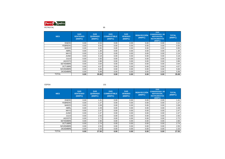

| <b>MES</b>       | <b>GAS</b><br><b>VENTEADO</b><br>(MMPC) | <b>GAS</b><br><b>QUEMADO</b><br>(MMPC) | <b>GAS</b><br><b>COMBUSTIBLE</b><br>(MMPC) | <b>GAS</b><br><b>VENDIDO</b><br>(MMPC) | <b>REINYECCIÓN</b><br>(MMPC) | <b>GAS</b><br><b>CONDENSADO, DE</b><br><b>REPOSICIÓN,</b><br><b>INSTRUMENTOS</b><br>(MMPC) | <b>TOTAL</b><br>(MMPC) |
|------------------|-----------------------------------------|----------------------------------------|--------------------------------------------|----------------------------------------|------------------------------|--------------------------------------------------------------------------------------------|------------------------|
| <b>ENERO</b>     | 0.00                                    | 0.54                                   | 0.00                                       | 0.00                                   | 0.00                         | 0.00                                                                                       | 0.54                   |
| <b>FEBRERO</b>   | 0.00                                    | 0.55                                   | 0.00                                       | 0.00                                   | 0.00                         | 0.00                                                                                       | 0.55                   |
| <b>MARZO</b>     | 0.00                                    | 0.65                                   | 0.00                                       | 0.00                                   | 0.00                         | 0.00                                                                                       | 0.65                   |
| <b>ABRIL</b>     | 0.00                                    | 1.30                                   | 0.00                                       | 0.00                                   | 0.00                         | 0.00                                                                                       | 1.30                   |
| <b>MAYO</b>      | 0.00                                    | 2.24                                   | 0.00                                       | 0.00                                   | 0.00                         | 0.00                                                                                       | 2.24                   |
| <b>JUNIO</b>     | 0.00                                    | 3.18                                   | 0.00                                       | 0.00                                   | 0.00                         | 0.00                                                                                       | 3.18                   |
| <b>JULIO</b>     | 0.00                                    | 3.30                                   | 0.00                                       | 0.00                                   | 0.00                         | 0.00                                                                                       | 3.30                   |
| <b>AGOSTO</b>    | 0.00                                    | 3.96                                   | 0.00                                       | 0.00                                   | 0.00                         | 0.00                                                                                       | 3.96                   |
| <b>SETIEMBRE</b> | 0.00                                    | 3.64                                   | 0.00                                       | 0.00                                   | 0.00                         | 0.00                                                                                       | 3.64                   |
| <b>OCTUBRE</b>   | 0.00                                    | 4.07                                   | 0.00                                       | 0.00                                   | 0.00                         | 0.00                                                                                       | 4.07                   |
| <b>NOVIEMBRE</b> | 0.00                                    | 5.66                                   | 0.00                                       | 0.00                                   | 0.00                         | 0.00                                                                                       | 5.66                   |
| <b>DICIEMBRE</b> | 0.00                                    | 5.99                                   | 0.00                                       | 0.00                                   | 0.00                         | 0.00                                                                                       | 5.99                   |
| <b>TOTAL</b>     | 0.00                                    | 35.08                                  | 0.00                                       | 0.00                                   | 0.00                         | 0.00                                                                                       | 35.08                  |

CEPSA

 $\mathsf{A}$  131

| <b>MES</b>       | <b>GAS</b><br><b>VENTEADO</b><br>(MMPC) | <b>GAS</b><br><b>QUEMADO</b><br>(MMPC) | <b>GAS</b><br><b>COMBUSTIBLE</b><br>(MMPC) | <b>GAS</b><br><b>VENDIDO</b><br>(MMPC) | <b>REINYECCIÓN</b><br>(MMPC) | <b>GAS</b><br><b>CONDENSADO, DE</b><br><b>REPOSICIÓN,</b><br><b>INSTRUMENTOS</b><br>(MMPC) | <b>TOTAL</b><br>(MMPC) |
|------------------|-----------------------------------------|----------------------------------------|--------------------------------------------|----------------------------------------|------------------------------|--------------------------------------------------------------------------------------------|------------------------|
| <b>ENERO</b>     | 0.00                                    | 1.41                                   | 0.00                                       | 0.00                                   | 0.00                         | 0.00                                                                                       | 1.41                   |
| <b>FEBRERO</b>   | 0.00                                    | 1.27                                   | 0.00                                       | 0.00                                   | 0.00                         | 0.00                                                                                       | 1.27                   |
| <b>MARZO</b>     | 0.00                                    | 2.09                                   | 0.00                                       | 0.00                                   | 0.00                         | 0.00                                                                                       | 2.09                   |
| <b>ABRIL</b>     | 0.00                                    | 2.29                                   | 0.00                                       | 0.00                                   | 0.00                         | 0.00                                                                                       | 2.29                   |
| <b>MAYO</b>      | 0.00                                    | 2.47                                   | 0.00                                       | 0.00                                   | 0.00                         | 0.00                                                                                       | 2.47                   |
| <b>JUNIO</b>     | 0.00                                    | 2.47                                   | 0.00                                       | 0.00                                   | 0.00                         | 0.00                                                                                       | 2.47                   |
| <b>JULIO</b>     | 0.00                                    | 2.55                                   | 0.00                                       | 0.00                                   | 0.00                         | 0.00                                                                                       | 2.55                   |
| <b>AGOSTO</b>    | 0.00                                    | 2.72                                   | 0.00                                       | 0.00                                   | 0.00                         | 0.00                                                                                       | 2.72                   |
| <b>SETIEMBRE</b> | 0.00                                    | 2.66                                   | 0.00                                       | 0.00                                   | 0.00                         | 0.00                                                                                       | 2.66                   |
| <b>OCTUBRE</b>   | 0.00                                    | 2.74                                   | 0.00                                       | 0.00                                   | 0.00                         | 0.00                                                                                       | 2.74                   |
| <b>NOVIEMBRE</b> | 0.00                                    | 2.55                                   | 0.00                                       | 0.00                                   | 0.00                         | 0.00                                                                                       | 2.55                   |
| <b>DICIEMBRE</b> | 0.00                                    | 2.33                                   | 0.00                                       | 0.00                                   | 0.00                         | 0.00                                                                                       | 2.33                   |
| TOTAL            | 0.00                                    | 27.55                                  | 0.00                                       | 0.00                                   | 0.00                         | 0.00                                                                                       | 27.55                  |